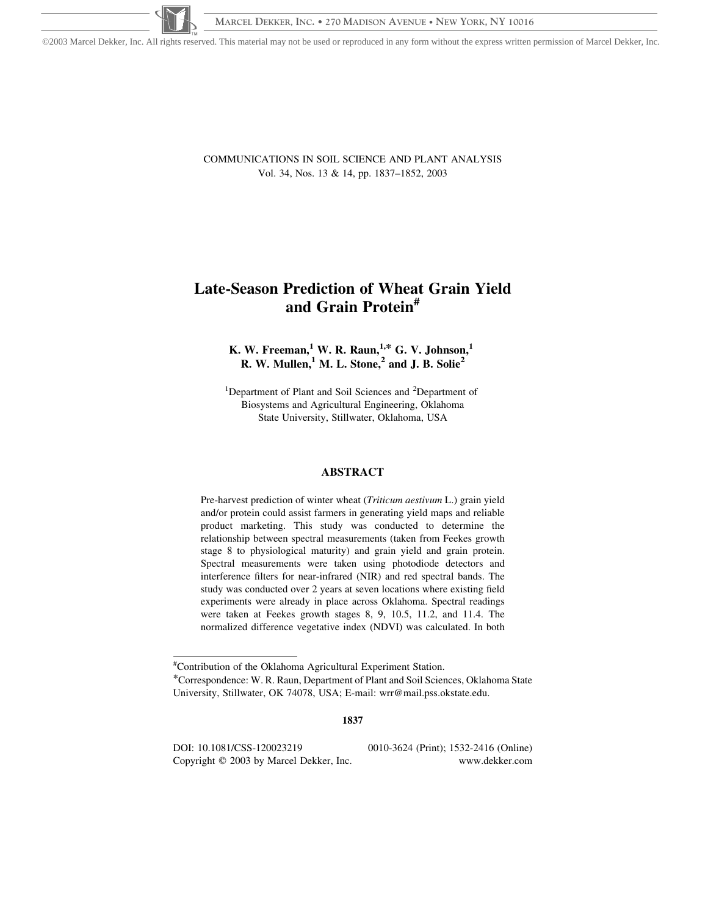©2003 Marcel Dekker, Inc. All rights reserved. This material may not be used or reproduced in any form without the express written permission of Marcel Dekker, Inc.

COMMUNICATIONS IN SOIL SCIENCE AND PLANT ANALYSIS Vol. 34, Nos. 13 & 14, pp. 1837–1852, 2003

# Late-Season Prediction of Wheat Grain Yield and Grain Protein#

# K. W. Freeman, <sup>1</sup> W. R. Raun, <sup>1,\*</sup> G. V. Johnson,<sup>1</sup> R. W. Mullen,  $^1$  M. L. Stone,  $^2$  and J. B. Solie<sup>2</sup>

<sup>1</sup>Department of Plant and Soil Sciences and <sup>2</sup>Department of Biosystems and Agricultural Engineering, Oklahoma State University, Stillwater, Oklahoma, USA

#### ABSTRACT

Pre-harvest prediction of winter wheat (*Triticum aestivum* L.) grain yield and/or protein could assist farmers in generating yield maps and reliable product marketing. This study was conducted to determine the relationship between spectral measurements (taken from Feekes growth stage 8 to physiological maturity) and grain yield and grain protein. Spectral measurements were taken using photodiode detectors and interference filters for near-infrared (NIR) and red spectral bands. The study was conducted over 2 years at seven locations where existing field experiments were already in place across Oklahoma. Spectral readings were taken at Feekes growth stages 8, 9, 10.5, 11.2, and 11.4. The normalized difference vegetative index (NDVI) was calculated. In both

1837

DOI: 10.1081/CSS-120023219 0010-3624 (Print); 1532-2416 (Online) Copyright © 2003 by Marcel Dekker, Inc. www.dekker.com

<sup>#</sup> Contribution of the Oklahoma Agricultural Experiment Station.

<sup>\*</sup>Correspondence: W. R. Raun, Department of Plant and Soil Sciences, Oklahoma State University, Stillwater, OK 74078, USA; E-mail: wrr@mail.pss.okstate.edu.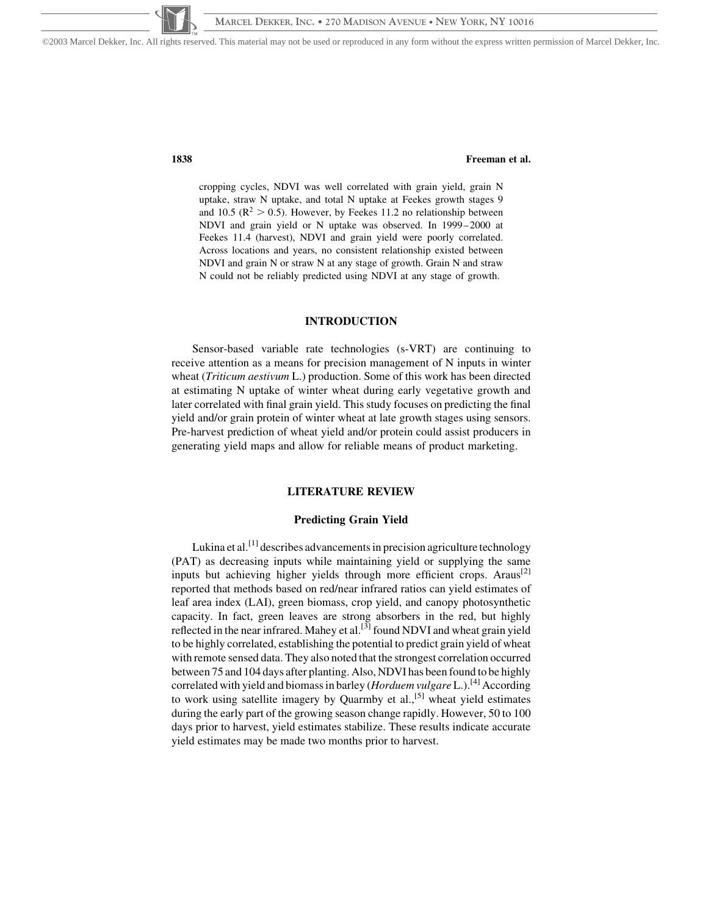©2003 Marcel Dekker, Inc. All rights reserved. This material may not be used or reproduced in any form without the express written permission of Marcel Dekker, Inc.

# 1838 Freeman et al.

cropping cycles, NDVI was well correlated with grain yield, grain N uptake, straw N uptake, and total N uptake at Feekes growth stages 9 and 10.5 ( $\mathbb{R}^2 > 0.5$ ). However, by Feekes 11.2 no relationship between NDVI and grain yield or N uptake was observed. In 1999–2000 at Feekes 11.4 (harvest), NDVI and grain yield were poorly correlated. Across locations and years, no consistent relationship existed between NDVI and grain N or straw N at any stage of growth. Grain N and straw N could not be reliably predicted using NDVI at any stage of growth.

# INTRODUCTION

Sensor-based variable rate technologies (s-VRT) are continuing to receive attention as a means for precision management of N inputs in winter wheat (*Triticum aestivum* L.) production. Some of this work has been directed at estimating N uptake of winter wheat during early vegetative growth and later correlated with final grain yield. This study focuses on predicting the final yield and/or grain protein of winter wheat at late growth stages using sensors. Pre-harvest prediction of wheat yield and/or protein could assist producers in generating yield maps and allow for reliable means of product marketing.

## LITERATURE REVIEW

#### Predicting Grain Yield

Lukina et al.<sup>[1]</sup> describes advancements in precision agriculture technology (PAT) as decreasing inputs while maintaining yield or supplying the same inputs but achieving higher yields through more efficient crops. Araus<sup>[2]</sup> reported that methods based on red/near infrared ratios can yield estimates of leaf area index (LAI), green biomass, crop yield, and canopy photosynthetic capacity. In fact, green leaves are strong absorbers in the red, but highly reflected in the near infrared. Mahey et al. $^{[3]}$  found NDVI and wheat grain yield to be highly correlated, establishing the potential to predict grain yield of wheat with remote sensed data. They also noted that the strongest correlation occurred between 75 and 104 days after planting. Also, NDVI has been found to be highly correlated with yield and biomass in barley (*Horduem vulgare L.*).<sup>[4]</sup> According to work using satellite imagery by Quarmby et  $al$ ,  $[5]$  wheat yield estimates during the early part of the growing season change rapidly. However, 50 to 100 days prior to harvest, yield estimates stabilize. These results indicate accurate yield estimates may be made two months prior to harvest.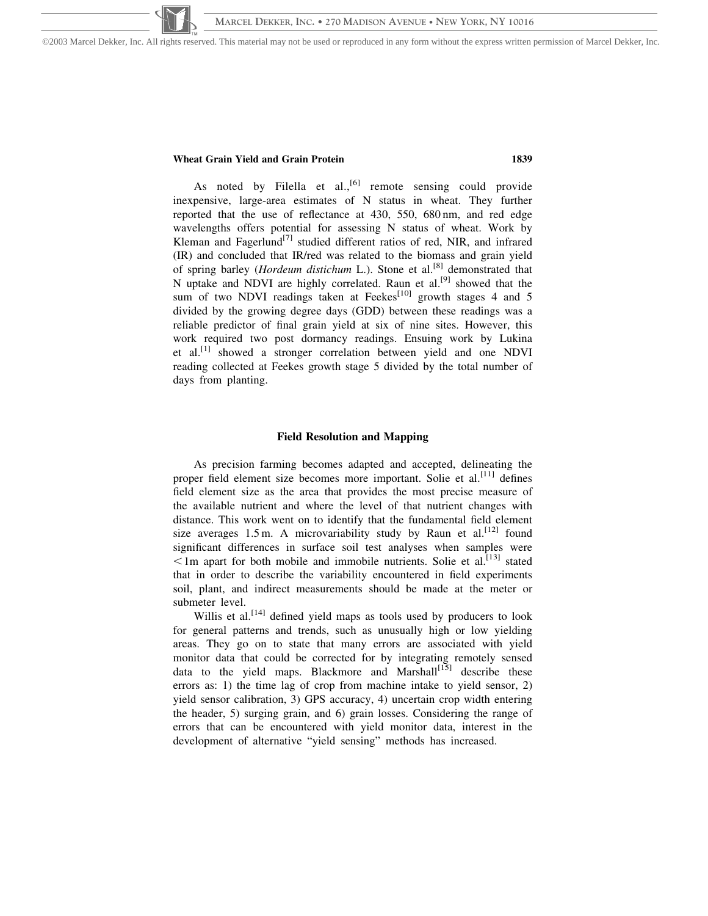©2003 Marcel Dekker, Inc. All rights reserved. This material may not be used or reproduced in any form without the express written permission of Marcel Dekker, Inc.

#### Wheat Grain Yield and Grain Protein 1839

As noted by Filella et al.,<sup>[6]</sup> remote sensing could provide inexpensive, large-area estimates of N status in wheat. They further reported that the use of reflectance at 430, 550, 680 nm, and red edge wavelengths offers potential for assessing N status of wheat. Work by Kleman and Fagerlund<sup>[7]</sup> studied different ratios of red, NIR, and infrared (IR) and concluded that IR/red was related to the biomass and grain yield of spring barley (Hordeum distichum L.). Stone et al.<sup>[8]</sup> demonstrated that N uptake and NDVI are highly correlated. Raun et al.<sup>[9]</sup> showed that the sum of two NDVI readings taken at Feekes<sup>[10]</sup> growth stages 4 and 5 divided by the growing degree days (GDD) between these readings was a reliable predictor of final grain yield at six of nine sites. However, this work required two post dormancy readings. Ensuing work by Lukina et al.[1] showed a stronger correlation between yield and one NDVI reading collected at Feekes growth stage 5 divided by the total number of days from planting.

#### Field Resolution and Mapping

As precision farming becomes adapted and accepted, delineating the proper field element size becomes more important. Solie et al.<sup>[11]</sup> defines field element size as the area that provides the most precise measure of the available nutrient and where the level of that nutrient changes with distance. This work went on to identify that the fundamental field element size averages  $1.5$  m. A microvariability study by Raun et al.<sup>[12]</sup> found significant differences in surface soil test analyses when samples were  $\leq$ 1m apart for both mobile and immobile nutrients. Solie et al.<sup>[13]</sup> stated that in order to describe the variability encountered in field experiments soil, plant, and indirect measurements should be made at the meter or submeter level.

Willis et al.<sup>[14]</sup> defined yield maps as tools used by producers to look for general patterns and trends, such as unusually high or low yielding areas. They go on to state that many errors are associated with yield monitor data that could be corrected for by integrating remotely sensed data to the yield maps. Blackmore and Marshall<sup>[15]</sup> describe these errors as: 1) the time lag of crop from machine intake to yield sensor, 2) yield sensor calibration, 3) GPS accuracy, 4) uncertain crop width entering the header, 5) surging grain, and 6) grain losses. Considering the range of errors that can be encountered with yield monitor data, interest in the development of alternative "yield sensing" methods has increased.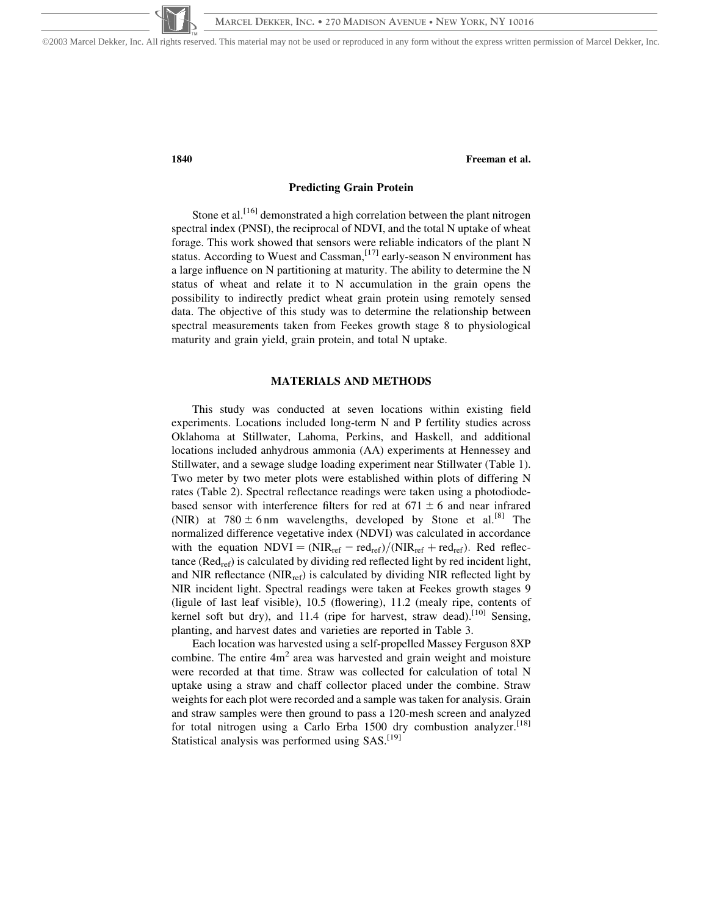©2003 Marcel Dekker, Inc. All rights reserved. This material may not be used or reproduced in any form without the express written permission of Marcel Dekker, Inc.

1840 Freeman et al.

# Predicting Grain Protein

Stone et al.  $[16]$  demonstrated a high correlation between the plant nitrogen spectral index (PNSI), the reciprocal of NDVI, and the total N uptake of wheat forage. This work showed that sensors were reliable indicators of the plant N status. According to Wuest and Cassman,  $[17]$  early-season N environment has a large influence on N partitioning at maturity. The ability to determine the N status of wheat and relate it to N accumulation in the grain opens the possibility to indirectly predict wheat grain protein using remotely sensed data. The objective of this study was to determine the relationship between spectral measurements taken from Feekes growth stage 8 to physiological maturity and grain yield, grain protein, and total N uptake.

# MATERIALS AND METHODS

This study was conducted at seven locations within existing field experiments. Locations included long-term N and P fertility studies across Oklahoma at Stillwater, Lahoma, Perkins, and Haskell, and additional locations included anhydrous ammonia (AA) experiments at Hennessey and Stillwater, and a sewage sludge loading experiment near Stillwater (Table 1). Two meter by two meter plots were established within plots of differing N rates (Table 2). Spectral reflectance readings were taken using a photodiodebased sensor with interference filters for red at  $671 \pm 6$  and near infrared (NIR) at  $780 \pm 6$  nm wavelengths, developed by Stone et al.<sup>[8]</sup> The normalized difference vegetative index (NDVI) was calculated in accordance with the equation  $NDVI = (NIR_{ref} - red_{ref})/(NIR_{ref} + red_{ref})$ . Red reflectance ( $\text{Red}_{\text{ref}}$ ) is calculated by dividing red reflected light by red incident light, and NIR reflectance ( $NIR_{ref}$ ) is calculated by dividing NIR reflected light by NIR incident light. Spectral readings were taken at Feekes growth stages 9 (ligule of last leaf visible), 10.5 (flowering), 11.2 (mealy ripe, contents of kernel soft but dry), and 11.4 (ripe for harvest, straw dead).<sup>[10]</sup> Sensing, planting, and harvest dates and varieties are reported in Table 3.

Each location was harvested using a self-propelled Massey Ferguson 8XP combine. The entire  $4m<sup>2</sup>$  area was harvested and grain weight and moisture were recorded at that time. Straw was collected for calculation of total N uptake using a straw and chaff collector placed under the combine. Straw weights for each plot were recorded and a sample was taken for analysis. Grain and straw samples were then ground to pass a 120-mesh screen and analyzed for total nitrogen using a Carlo Erba 1500 dry combustion analyzer.<sup>[18]</sup> Statistical analysis was performed using  $SAS$ .<sup>[19]</sup>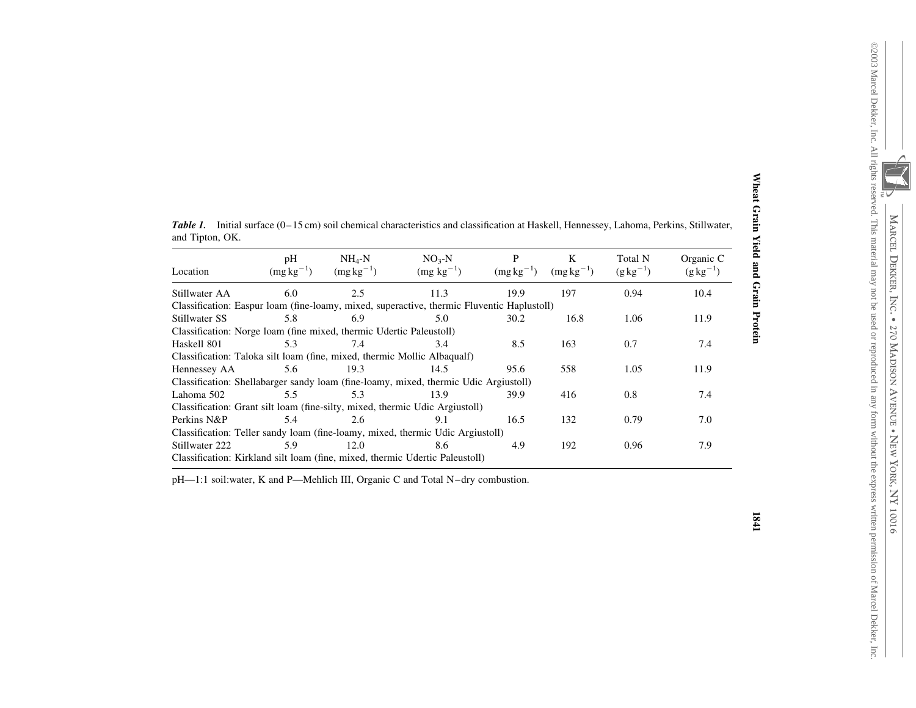©2003 Marcel Dekker, Inc. All rights reserved. This material may not be used or reproduced in any form without the express wri

tten permission of Marcel Dekker, Inc.

| and Tipton, OK.                                                          |                      |                           |                                                                                            |                     |                     |                             |                               |  |  |
|--------------------------------------------------------------------------|----------------------|---------------------------|--------------------------------------------------------------------------------------------|---------------------|---------------------|-----------------------------|-------------------------------|--|--|
| Location                                                                 | pH<br>$(mg kg^{-1})$ | $NH4-N$<br>$(mg kg^{-1})$ | $NO3-N$<br>$(mg kg^{-1})$                                                                  | P<br>$(mg kg^{-1})$ | K<br>$(mg kg^{-1})$ | Total N<br>$(g \, kg^{-1})$ | Organic C<br>$(g \, kg^{-1})$ |  |  |
| Stillwater AA                                                            | 6.0                  | 2.5                       | 11.3                                                                                       | 19.9                | 197                 | 0.94                        | 10.4                          |  |  |
|                                                                          |                      |                           | Classification: Easpur loam (fine-loamy, mixed, superactive, thermic Fluventic Haplustoll) |                     |                     |                             |                               |  |  |
| Stillwater SS                                                            | 5.8                  | 6.9                       | 5.0                                                                                        | 30.2                | 16.8                | 1.06                        | 11.9                          |  |  |
| Classification: Norge Ioam (fine mixed, thermic Udertic Paleustoll)      |                      |                           |                                                                                            |                     |                     |                             |                               |  |  |
| Haskell 801                                                              | 5.3                  | 7.4                       | 3.4                                                                                        | 8.5                 | 163                 | 0.7                         | 7.4                           |  |  |
| Classification: Taloka silt loam (fine, mixed, thermic Mollic Albaqualf) |                      |                           |                                                                                            |                     |                     |                             |                               |  |  |
| Hennessey AA                                                             | 5.6                  | 19.3                      | 14.5                                                                                       | 95.6                | 558                 | 1.05                        | 11.9                          |  |  |
|                                                                          |                      |                           | Classification: Shellabarger sandy loam (fine-loamy, mixed, thermic Udic Argiustoll)       |                     |                     |                             |                               |  |  |
| Lahoma 502                                                               | 5.5                  | 5.3                       | 13.9                                                                                       | 39.9                | 416                 | 0.8                         | 7.4                           |  |  |
|                                                                          |                      |                           | Classification: Grant silt loam (fine-silty, mixed, thermic Udic Argiustoll)               |                     |                     |                             |                               |  |  |
| Perkins N&P                                                              | 5.4                  | 2.6                       | 9.1                                                                                        | 16.5                | 132                 | 0.79                        | 7.0                           |  |  |
|                                                                          |                      |                           | Classification: Teller sandy loam (fine-loamy, mixed, thermic Udic Argiustoll)             |                     |                     |                             |                               |  |  |
| Stillwater 222                                                           | 5.9                  | 12.0                      | 8.6                                                                                        | 4.9                 | 192                 | 0.96                        | 7.9                           |  |  |
|                                                                          |                      |                           | Classification: Kirkland silt loam (fine, mixed, thermic Udertic Paleustoll)               |                     |                     |                             |                               |  |  |

Table 1. Initial surface (0–15 cm) soil chemical characteristics and classification at Haskell, Hennessey, Lahoma, Perkins, Stillwater,

pH—1:1 soil:water, K and P—Mehlich III, Organic C and Total N–dry combustion.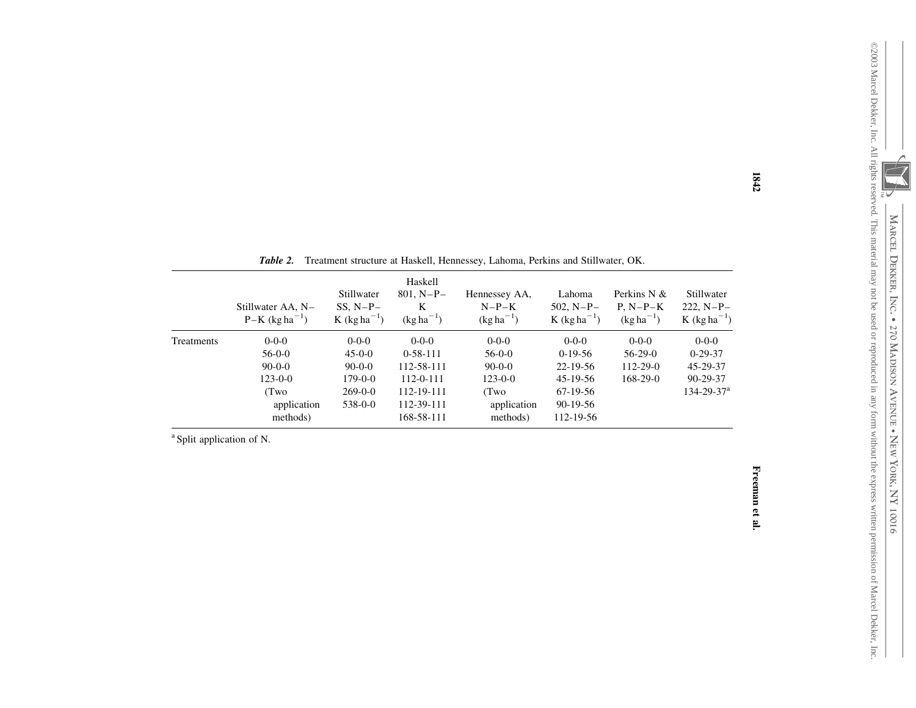| Stillwater AA, N-<br>$P-K (kg ha^{-1})$ | Stillwater<br>$SS. N-P-$<br>$K$ (kg ha <sup>-1</sup> ) | Haskell<br>$801, N-P-$<br>K<br>$(kg ha^{-1})$ | Hennessey AA,<br>$N-P-K$<br>$(kg ha^{-1})$ | Lahoma<br>$502. N-P-$<br>$K$ (kg ha <sup>-1</sup> ) | Perkins N $&$<br>$P. N-P-K$<br>$(kg ha^{-1})$ | Stillwater<br>$222, N-P-$<br>$K$ (kg ha <sup>-1</sup> ) |
|-----------------------------------------|--------------------------------------------------------|-----------------------------------------------|--------------------------------------------|-----------------------------------------------------|-----------------------------------------------|---------------------------------------------------------|
| $0 - 0 - 0$                             | $0 - 0 - 0$                                            | $0-0-0$                                       | $0-0-0$                                    | $0-0-0$                                             | $0-0-0$                                       | $0 - 0 - 0$                                             |
| $56-0-0$                                | $45-0-0$                                               | $0-58-111$                                    | $56-0-0$                                   | $0-19-56$                                           | $56-29-0$                                     | $0-29-37$                                               |
| $90-0-0$                                | $90 - 0 - 0$                                           | 112-58-111                                    | $90-0-0$                                   | 22-19-56                                            | $112 - 29 - 0$                                | 45-29-37                                                |
| $123 - 0 - 0$                           | $179 - 0 - 0$                                          | $112 - 0 - 111$                               | $123 - 0 - 0$                              | $45 - 19 - 56$                                      | $168-29-0$                                    | 90-29-37                                                |
| (Two)                                   | $269 - 0 - 0$                                          | 112-19-111                                    | (Two                                       | 67-19-56                                            |                                               | $134 - 29 - 37^{\rm a}$                                 |
| application                             | $538 - 0 - 0$                                          | 112-39-111                                    | application                                | $90-19-56$                                          |                                               |                                                         |
|                                         | methods)                                               |                                               | 168-58-111                                 | methods)                                            | 112-19-56                                     |                                                         |

| <b>Table 2.</b> Treatment structure at Haskell, Hennessey, Lahoma, Perkins and Stillwater, OK. |  |  |
|------------------------------------------------------------------------------------------------|--|--|

<sup>a</sup> Split application of N.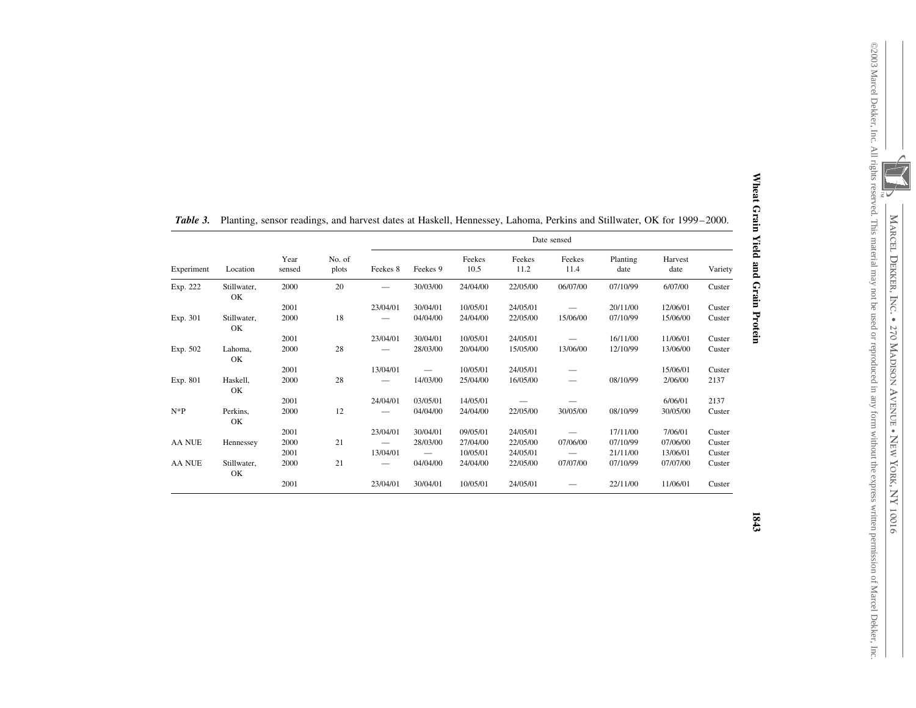| Wheat Grain Yield and Grain Protein |  |                                                                                                                                                                      |                                                               |
|-------------------------------------|--|----------------------------------------------------------------------------------------------------------------------------------------------------------------------|---------------------------------------------------------------|
| 1843                                |  | ©2003 Marcel Dekker, Inc. All rights reserved. This material may not be used or reproduced in any form without the express written permission of Marcel Dekker, Inc. | MARCEL DEKKER, INC. • 270 MADISON AVENUE • NEW YORK, NY 10016 |

| Experiment | Location          | Year<br>sensed | No. of<br>plots | Date sensed |          |                |                |                |                  |                 |         |
|------------|-------------------|----------------|-----------------|-------------|----------|----------------|----------------|----------------|------------------|-----------------|---------|
|            |                   |                |                 | Feekes 8    | Feekes 9 | Feekes<br>10.5 | Feekes<br>11.2 | Feekes<br>11.4 | Planting<br>date | Harvest<br>date | Variety |
| Exp. 222   | Stillwater,<br>OK | 2000           | 20              |             | 30/03/00 | 24/04/00       | 22/05/00       | 06/07/00       | 07/10/99         | 6/07/00         | Custer  |
|            |                   | 2001           |                 | 23/04/01    | 30/04/01 | 10/05/01       | 24/05/01       |                | 20/11/00         | 12/06/01        | Custer  |
| Exp. 301   | Stillwater,<br>OK | 2000           | 18              |             | 04/04/00 | 24/04/00       | 22/05/00       | 15/06/00       | 07/10/99         | 15/06/00        | Custer  |
|            |                   | 2001           |                 | 23/04/01    | 30/04/01 | 10/05/01       | 24/05/01       |                | 16/11/00         | 11/06/01        | Custer  |
| Exp. 502   | Lahoma,<br>OK     | 2000           | 28              |             | 28/03/00 | 20/04/00       | 15/05/00       | 13/06/00       | 12/10/99         | 13/06/00        | Custer  |
|            |                   | 2001           |                 | 13/04/01    |          | 10/05/01       | 24/05/01       |                |                  | 15/06/01        | Custer  |
| Exp. 801   | Haskell,<br>OK    | 2000           | 28              |             | 14/03/00 | 25/04/00       | 16/05/00       |                | 08/10/99         | 2/06/00         | 2137    |
|            |                   | 2001           |                 | 24/04/01    | 03/05/01 | 14/05/01       |                |                |                  | 6/06/01         | 2137    |
| $N*P$      | Perkins,<br>OK    | 2000           | 12              |             | 04/04/00 | 24/04/00       | 22/05/00       | 30/05/00       | 08/10/99         | 30/05/00        | Custer  |
|            |                   | 2001           |                 | 23/04/01    | 30/04/01 | 09/05/01       | 24/05/01       |                | 17/11/00         | 7/06/01         | Custer  |
| AA NUE     | Hennessey         | 2000           | 21              |             | 28/03/00 | 27/04/00       | 22/05/00       | 07/06/00       | 07/10/99         | 07/06/00        | Custer  |
|            |                   | 2001           |                 | 13/04/01    |          | 10/05/01       | 24/05/01       |                | 21/11/00         | 13/06/01        | Custer  |
| AA NUE     | Stillwater,<br>OK | 2000           | 21              |             | 04/04/00 | 24/04/00       | 22/05/00       | 07/07/00       | 07/10/99         | 07/07/00        | Custer  |
|            |                   | 2001           |                 | 23/04/01    | 30/04/01 | 10/05/01       | 24/05/01       |                | 22/11/00         | 11/06/01        | Custer  |

 $T<sub>a</sub>$ <sub>b</sub>l<sub>a</sub> 2 3. Planting, sensor readings, and harvest dates at Haskell, Hennessey, Lahoma, Perkins and Stillwater, OK for 1999–2000.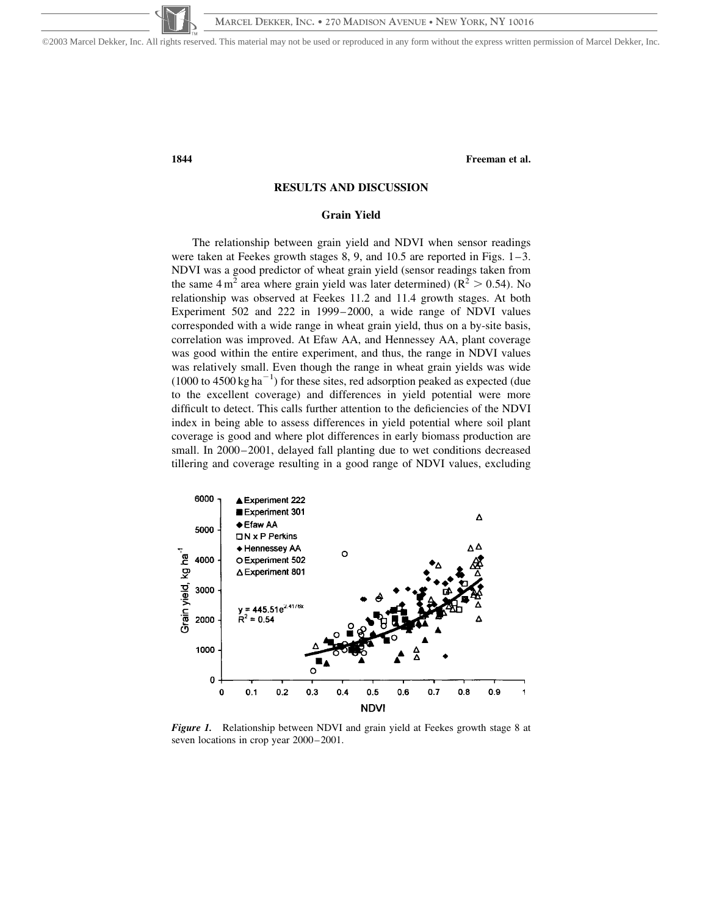©2003 Marcel Dekker, Inc. All rights reserved. This material may not be used or reproduced in any form without the express written permission of Marcel Dekker, Inc.

1844 Freeman et al.

# RESULTS AND DISCUSSION

#### Grain Yield

The relationship between grain yield and NDVI when sensor readings were taken at Feekes growth stages 8, 9, and 10.5 are reported in Figs. 1–3. NDVI was a good predictor of wheat grain yield (sensor readings taken from the same  $4 \text{ m}^2$  area where grain yield was later determined) ( $\text{R}^2 > 0.54$ ). No relationship was observed at Feekes 11.2 and 11.4 growth stages. At both Experiment 502 and 222 in 1999–2000, a wide range of NDVI values corresponded with a wide range in wheat grain yield, thus on a by-site basis, correlation was improved. At Efaw AA, and Hennessey AA, plant coverage was good within the entire experiment, and thus, the range in NDVI values was relatively small. Even though the range in wheat grain yields was wide  $(1000 \text{ to } 4500 \text{ kg ha}^{-1})$  for these sites, red adsorption peaked as expected (due to the excellent coverage) and differences in yield potential were more difficult to detect. This calls further attention to the deficiencies of the NDVI index in being able to assess differences in yield potential where soil plant coverage is good and where plot differences in early biomass production are small. In 2000–2001, delayed fall planting due to wet conditions decreased tillering and coverage resulting in a good range of NDVI values, excluding



Figure 1. Relationship between NDVI and grain yield at Feekes growth stage 8 at seven locations in crop year 2000–2001.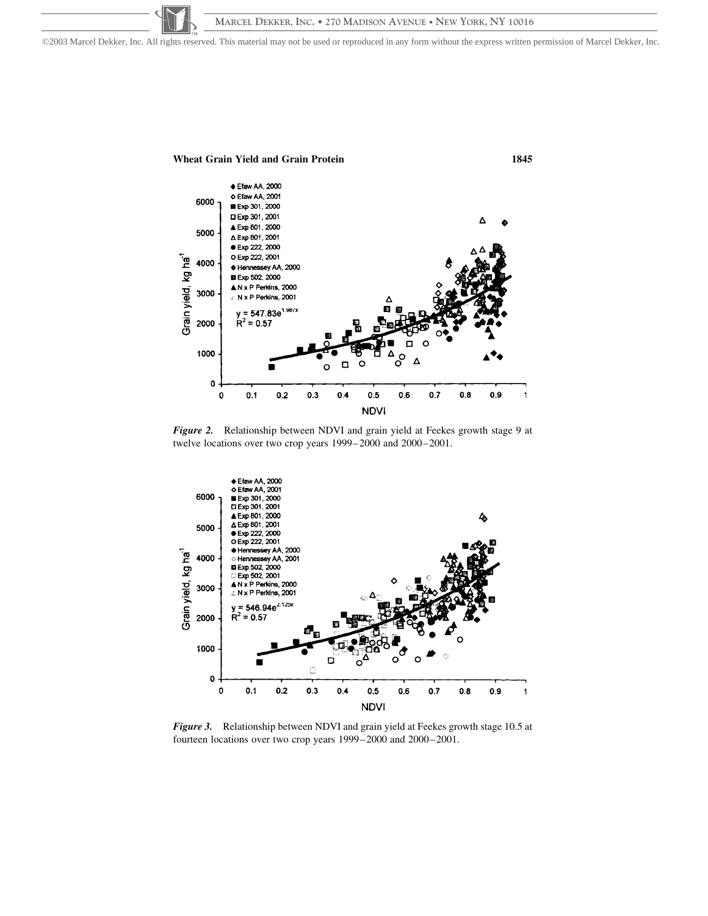**MARCEL DEKKER, INC. • 270 MADISON AVENUE • NEW YORK, NY 10016** ©2003 Marcel Dekker, Inc. All rights reserved. This material may not be used or reproduced in any form without the express written permission of Marcel Dekker, Inc.



Figure 2. Relationship between NDVI and grain yield at Feekes growth stage 9 at twelve locations over two crop years 1999–2000 and 2000–2001.



Figure 3. Relationship between NDVI and grain yield at Feekes growth stage 10.5 at fourteen locations over two crop years 1999–2000 and 2000–2001.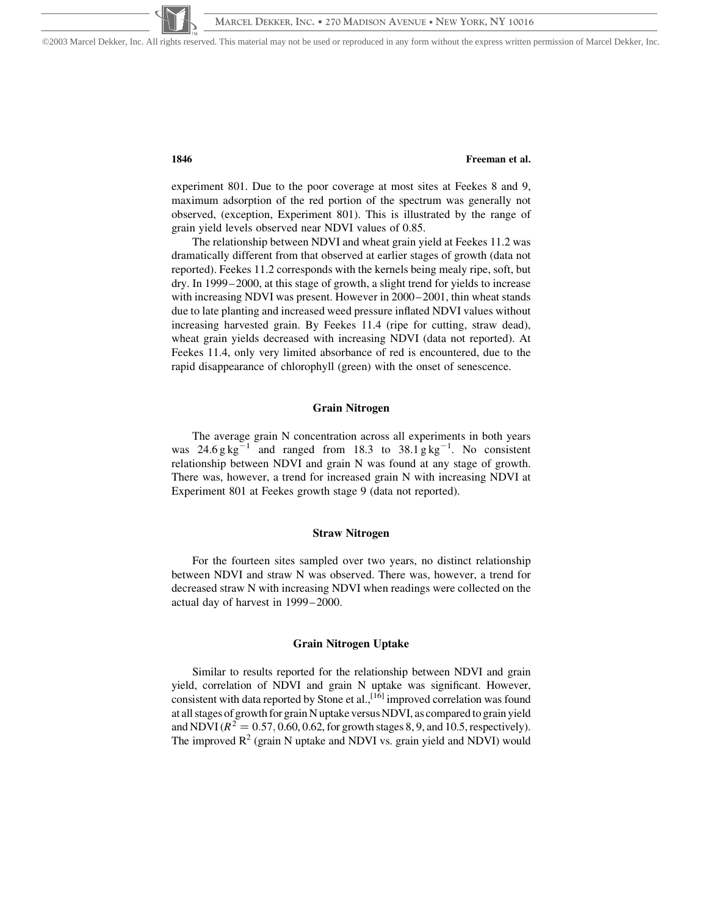©2003 Marcel Dekker, Inc. All rights reserved. This material may not be used or reproduced in any form without the express written permission of Marcel Dekker, Inc.

# 1846 Freeman et al.

experiment 801. Due to the poor coverage at most sites at Feekes 8 and 9, maximum adsorption of the red portion of the spectrum was generally not observed, (exception, Experiment 801). This is illustrated by the range of grain yield levels observed near NDVI values of 0.85.

The relationship between NDVI and wheat grain yield at Feekes 11.2 was dramatically different from that observed at earlier stages of growth (data not reported). Feekes 11.2 corresponds with the kernels being mealy ripe, soft, but dry. In 1999–2000, at this stage of growth, a slight trend for yields to increase with increasing NDVI was present. However in 2000–2001, thin wheat stands due to late planting and increased weed pressure inflated NDVI values without increasing harvested grain. By Feekes 11.4 (ripe for cutting, straw dead), wheat grain yields decreased with increasing NDVI (data not reported). At Feekes 11.4, only very limited absorbance of red is encountered, due to the rapid disappearance of chlorophyll (green) with the onset of senescence.

#### Grain Nitrogen

The average grain N concentration across all experiments in both years was  $24.6 g kg^{-1}$  and ranged from 18.3 to  $38.1 g kg^{-1}$ . No consistent relationship between NDVI and grain N was found at any stage of growth. There was, however, a trend for increased grain N with increasing NDVI at Experiment 801 at Feekes growth stage 9 (data not reported).

#### Straw Nitrogen

For the fourteen sites sampled over two years, no distinct relationship between NDVI and straw N was observed. There was, however, a trend for decreased straw N with increasing NDVI when readings were collected on the actual day of harvest in 1999–2000.

#### Grain Nitrogen Uptake

Similar to results reported for the relationship between NDVI and grain yield, correlation of NDVI and grain N uptake was significant. However, consistent with data reported by Stone et al., [16] improved correlation was found at all stages of growth for grain N uptake versus NDVI, as compared to grain yield and NDVI ( $R^2 = 0.57, 0.60, 0.62$ , for growth stages 8, 9, and 10.5, respectively). The improved  $R^2$  (grain N uptake and NDVI vs. grain yield and NDVI) would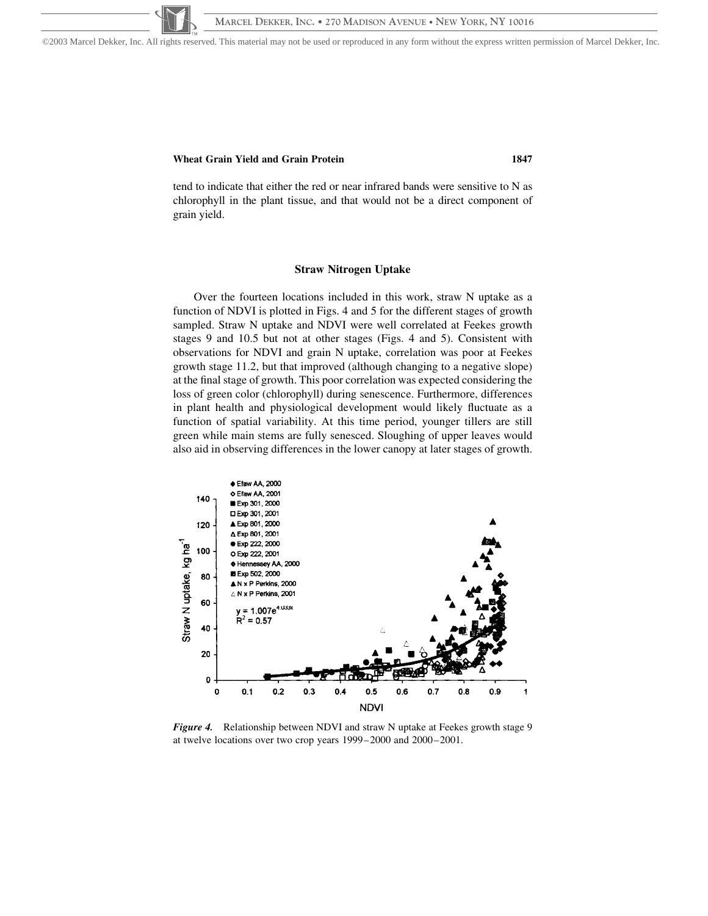©2003 Marcel Dekker, Inc. All rights reserved. This material may not be used or reproduced in any form without the express written permission of Marcel Dekker, Inc.

# Wheat Grain Yield and Grain Protein **1847**

tend to indicate that either the red or near infrared bands were sensitive to N as chlorophyll in the plant tissue, and that would not be a direct component of grain yield.

#### Straw Nitrogen Uptake

Over the fourteen locations included in this work, straw N uptake as a function of NDVI is plotted in Figs. 4 and 5 for the different stages of growth sampled. Straw N uptake and NDVI were well correlated at Feekes growth stages 9 and 10.5 but not at other stages (Figs. 4 and 5). Consistent with observations for NDVI and grain N uptake, correlation was poor at Feekes growth stage 11.2, but that improved (although changing to a negative slope) at the final stage of growth. This poor correlation was expected considering the loss of green color (chlorophyll) during senescence. Furthermore, differences in plant health and physiological development would likely fluctuate as a function of spatial variability. At this time period, younger tillers are still green while main stems are fully senesced. Sloughing of upper leaves would also aid in observing differences in the lower canopy at later stages of growth.



Figure 4. Relationship between NDVI and straw N uptake at Feekes growth stage 9 at twelve locations over two crop years 1999–2000 and 2000–2001.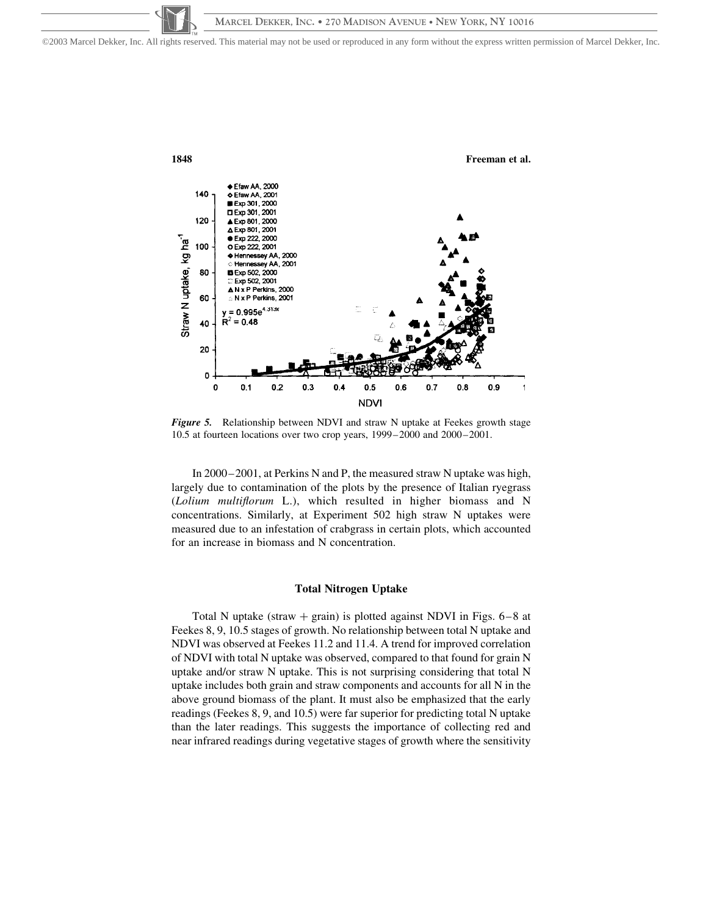©2003 Marcel Dekker, Inc. All rights reserved. This material may not be used or reproduced in any form without the express written permission of Marcel Dekker, Inc.



Figure 5. Relationship between NDVI and straw N uptake at Feekes growth stage 10.5 at fourteen locations over two crop years, 1999–2000 and 2000–2001.

In 2000–2001, at Perkins N and P, the measured straw N uptake was high, largely due to contamination of the plots by the presence of Italian ryegrass (Lolium multiflorum L.), which resulted in higher biomass and N concentrations. Similarly, at Experiment 502 high straw N uptakes were measured due to an infestation of crabgrass in certain plots, which accounted for an increase in biomass and N concentration.

#### Total Nitrogen Uptake

Total N uptake (straw  $+$  grain) is plotted against NDVI in Figs. 6–8 at Feekes 8, 9, 10.5 stages of growth. No relationship between total N uptake and NDVI was observed at Feekes 11.2 and 11.4. A trend for improved correlation of NDVI with total N uptake was observed, compared to that found for grain N uptake and/or straw N uptake. This is not surprising considering that total N uptake includes both grain and straw components and accounts for all N in the above ground biomass of the plant. It must also be emphasized that the early readings (Feekes 8, 9, and 10.5) were far superior for predicting total N uptake than the later readings. This suggests the importance of collecting red and near infrared readings during vegetative stages of growth where the sensitivity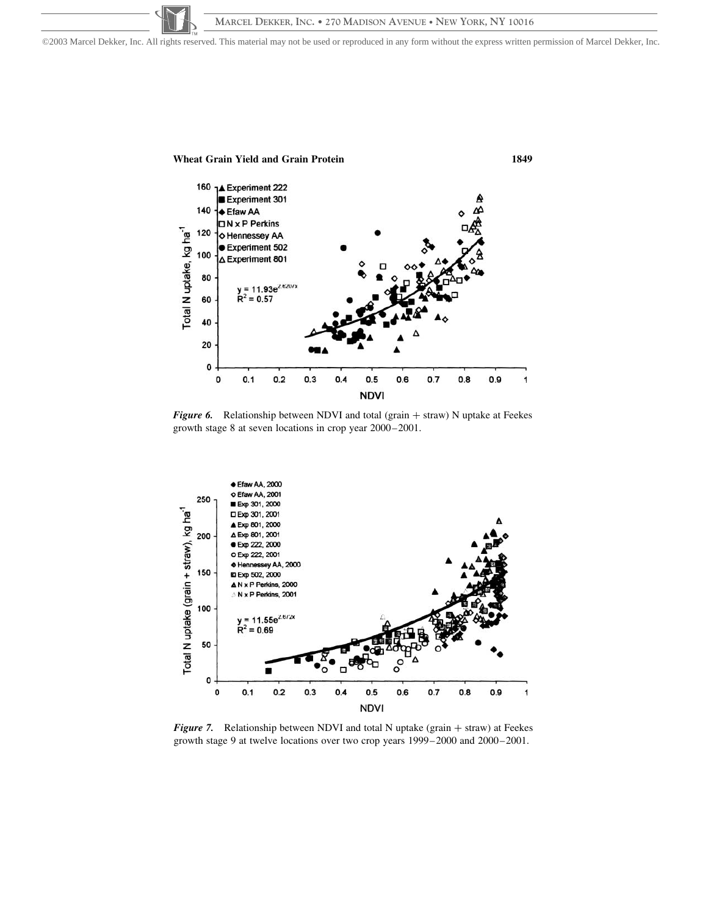©2003 Marcel Dekker, Inc. All rights reserved. This material may not be used or reproduced in any form without the express written permission of Marcel Dekker, Inc.



Figure 6. Relationship between NDVI and total (grain  $+$  straw) N uptake at Feekes growth stage 8 at seven locations in crop year 2000–2001.



Figure 7. Relationship between NDVI and total N uptake (grain  $+$  straw) at Feekes growth stage 9 at twelve locations over two crop years 1999–2000 and 2000–2001.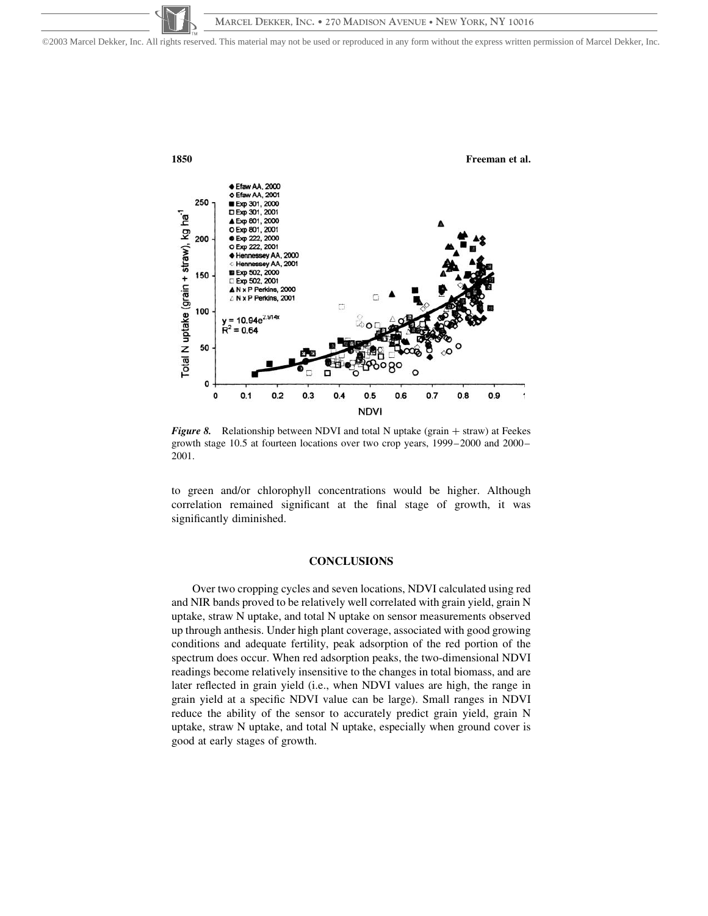©2003 Marcel Dekker, Inc. All rights reserved. This material may not be used or reproduced in any form without the express written permission of Marcel Dekker, Inc.



Figure 8. Relationship between NDVI and total N uptake (grain  $+$  straw) at Feekes growth stage 10.5 at fourteen locations over two crop years, 1999–2000 and 2000– 2001.

to green and/or chlorophyll concentrations would be higher. Although correlation remained significant at the final stage of growth, it was significantly diminished.

#### **CONCLUSIONS**

Over two cropping cycles and seven locations, NDVI calculated using red and NIR bands proved to be relatively well correlated with grain yield, grain N uptake, straw N uptake, and total N uptake on sensor measurements observed up through anthesis. Under high plant coverage, associated with good growing conditions and adequate fertility, peak adsorption of the red portion of the spectrum does occur. When red adsorption peaks, the two-dimensional NDVI readings become relatively insensitive to the changes in total biomass, and are later reflected in grain yield (i.e., when NDVI values are high, the range in grain yield at a specific NDVI value can be large). Small ranges in NDVI reduce the ability of the sensor to accurately predict grain yield, grain N uptake, straw N uptake, and total N uptake, especially when ground cover is good at early stages of growth.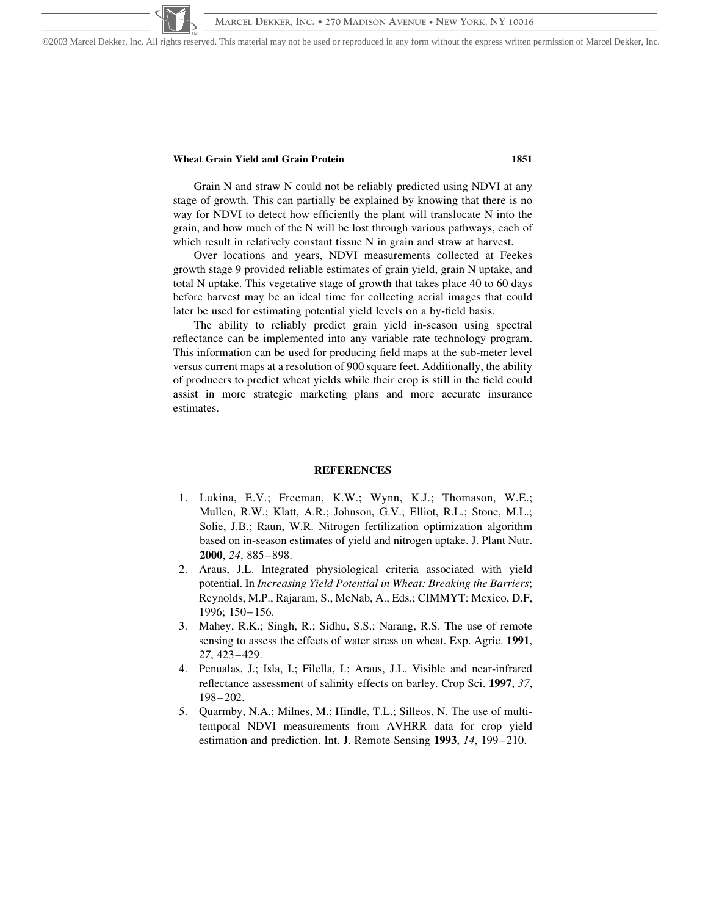©2003 Marcel Dekker, Inc. All rights reserved. This material may not be used or reproduced in any form without the express written permission of Marcel Dekker, Inc.

# Wheat Grain Yield and Grain Protein 1851

Grain N and straw N could not be reliably predicted using NDVI at any stage of growth. This can partially be explained by knowing that there is no way for NDVI to detect how efficiently the plant will translocate N into the grain, and how much of the N will be lost through various pathways, each of which result in relatively constant tissue N in grain and straw at harvest.

Over locations and years, NDVI measurements collected at Feekes growth stage 9 provided reliable estimates of grain yield, grain N uptake, and total N uptake. This vegetative stage of growth that takes place 40 to 60 days before harvest may be an ideal time for collecting aerial images that could later be used for estimating potential yield levels on a by-field basis.

The ability to reliably predict grain yield in-season using spectral reflectance can be implemented into any variable rate technology program. This information can be used for producing field maps at the sub-meter level versus current maps at a resolution of 900 square feet. Additionally, the ability of producers to predict wheat yields while their crop is still in the field could assist in more strategic marketing plans and more accurate insurance estimates.

#### REFERENCES

- 1. Lukina, E.V.; Freeman, K.W.; Wynn, K.J.; Thomason, W.E.; Mullen, R.W.; Klatt, A.R.; Johnson, G.V.; Elliot, R.L.; Stone, M.L.; Solie, J.B.; Raun, W.R. Nitrogen fertilization optimization algorithm based on in-season estimates of yield and nitrogen uptake. J. Plant Nutr. 2000, 24, 885–898.
- 2. Araus, J.L. Integrated physiological criteria associated with yield potential. In Increasing Yield Potential in Wheat: Breaking the Barriers; Reynolds, M.P., Rajaram, S., McNab, A., Eds.; CIMMYT: Mexico, D.F, 1996; 150–156.
- 3. Mahey, R.K.; Singh, R.; Sidhu, S.S.; Narang, R.S. The use of remote sensing to assess the effects of water stress on wheat. Exp. Agric. 1991, 27, 423–429.
- 4. Penualas, J.; Isla, I.; Filella, I.; Araus, J.L. Visible and near-infrared reflectance assessment of salinity effects on barley. Crop Sci. 1997, 37, 198–202.
- 5. Quarmby, N.A.; Milnes, M.; Hindle, T.L.; Silleos, N. The use of multitemporal NDVI measurements from AVHRR data for crop yield estimation and prediction. Int. J. Remote Sensing 1993, 14, 199–210.